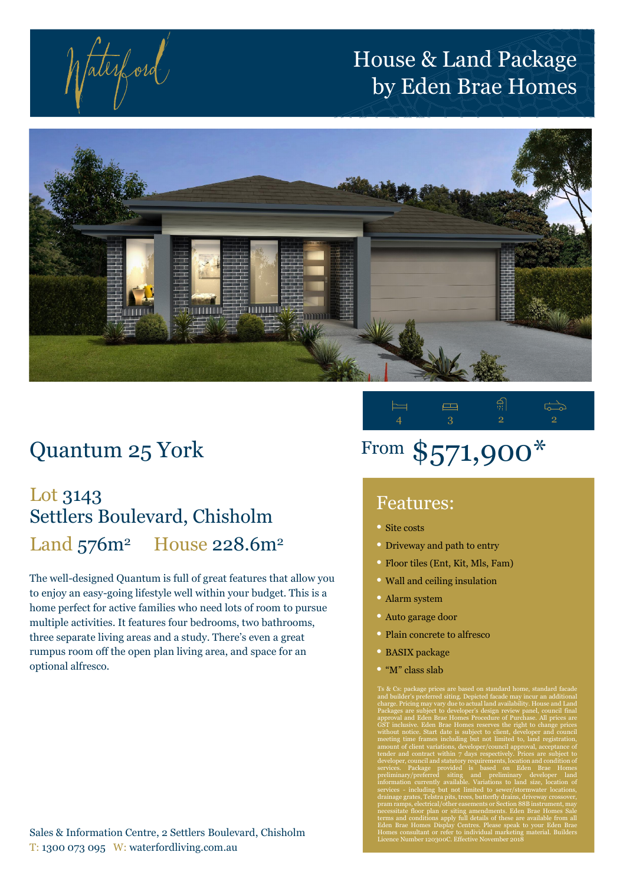faterford

## House & Land Package by Eden Brae Homes



## Quantum 25 York

## Lot 3143 Settlers Boulevard, Chisholm Land 576m<sup>2</sup> House 228.6m<sup>2</sup>

The well-designed Quantum is full of great features that allow you to enjoy an easy-going lifestyle well within your budget. This is a home perfect for active families who need lots of room to pursue multiple activities. It features four bedrooms, two bathrooms, three separate living areas and a study. There's even a great rumpus room off the open plan living area, and space for an optional alfresco.

#### Sales & Information Centre, 2 Settlers Boulevard, Chisholm T: 1300 073 095 W: waterfordliving.com.au



# From \$571,900\*

### Features:

- Site costs
- Driveway and path to entry
- Floor tiles (Ent, Kit, Mls, Fam)
- Wall and ceiling insulation
- Alarm system
- Auto garage door
- Plain concrete to alfresco
- BASIX package
- "M" class slab

Ts & Cs: package prices are based on standard home, standard facade and builder's preferred siting. Depicted facade may incur an additional charge. Pricing may vary due to actual land availability. House and Land Packages are subject to developer's design review panel, council final approval and Eden Brae Homes Procedure of Purchase. All prices are GST inclusive. Eden Brae Homes reserves the right to change prices without notice. Start date is subject to client, developer and council meeting time frames including but not limited to, land registration, amount of client variations, developer/council approval, acceptance of tender and contract within 7 days respectively. Prices are subject to developer, council and statutory requirements, location and condition of services. Package provided is based on Eden Brae Homes preliminary/preferred siting and preliminary developer land information currently available. Variations to land size, location of services - including but not limited to sewer/stormwater locations, drainage grates, Telstra pits, trees, butterfly drains, driveway crossover, pram ramps, electrical/other easements or Section 88B instrument, may necessitate floor plan or siting amendments. Eden Brae Homes Sale terms and conditions apply full details of these are available from all Eden Brae Homes Display Centres. Please speak to your Eden Brae Homes consultant or refer to individual marketing material. Builders Licence Number 120300C. Effective November 2018